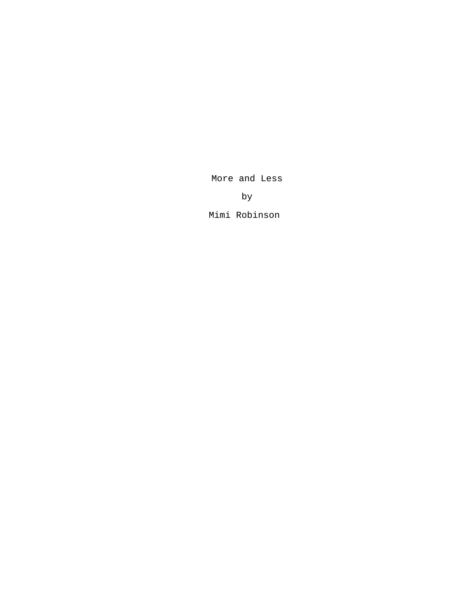More and Less

by

Mimi Robinson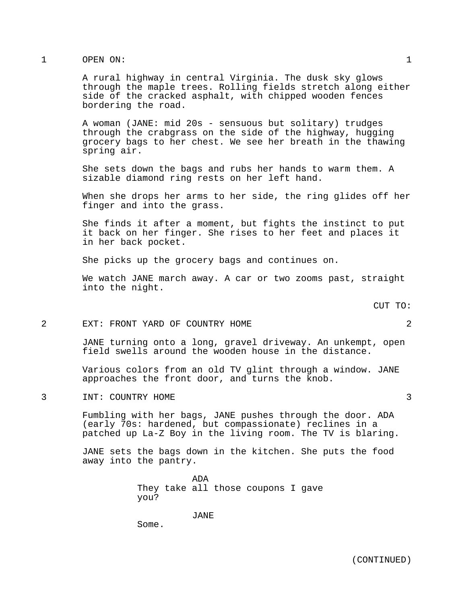# 1 OPEN ON: 1

A rural highway in central Virginia. The dusk sky glows through the maple trees. Rolling fields stretch along either side of the cracked asphalt, with chipped wooden fences bordering the road.

A woman (JANE: mid 20s - sensuous but solitary) trudges through the crabgrass on the side of the highway, hugging grocery bags to her chest. We see her breath in the thawing spring air.

She sets down the bags and rubs her hands to warm them. A sizable diamond ring rests on her left hand.

When she drops her arms to her side, the ring glides off her finger and into the grass.

She finds it after a moment, but fights the instinct to put it back on her finger. She rises to her feet and places it in her back pocket.

She picks up the grocery bags and continues on.

We watch JANE march away. A car or two zooms past, straight into the night.

CUT TO:

#### 2 EXT: FRONT YARD OF COUNTRY HOME 2

JANE turning onto a long, gravel driveway. An unkempt, open field swells around the wooden house in the distance.

Various colors from an old TV glint through a window. JANE approaches the front door, and turns the knob.

3 INT: COUNTRY HOME 3

Fumbling with her bags, JANE pushes through the door. ADA (early 70s: hardened, but compassionate) reclines in a patched up La-Z Boy in the living room. The TV is blaring.

JANE sets the bags down in the kitchen. She puts the food away into the pantry.

> ADA They take all those coupons I gave you?

> > JANE

Some.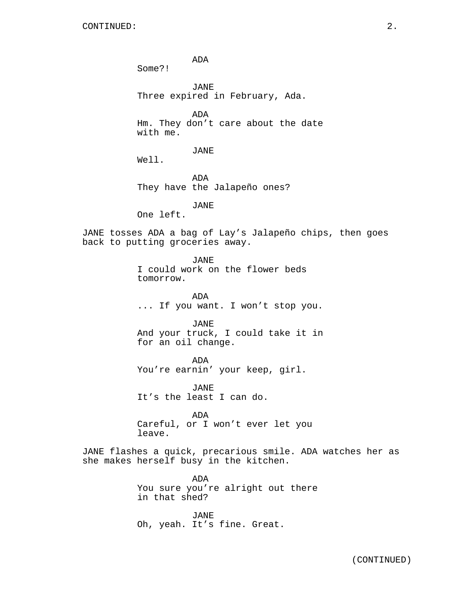ADA

JANE Three expired in February, Ada.

ADA Hm. They don't care about the date with me.

JANE

Well.

Some?!

ADA They have the Jalapeño ones?

JANE

One left.

tomorrow.

JANE tosses ADA a bag of Lay's Jalapeño chips, then goes back to putting groceries away.

> JANE I could work on the flower beds

ADA ... If you want. I won't stop you.

JANE And your truck, I could take it in for an oil change.

ADA You're earnin' your keep, girl.

JANE It's the least I can do.

ADA Careful, or I won't ever let you leave.

JANE flashes a quick, precarious smile. ADA watches her as she makes herself busy in the kitchen.

> ADA You sure you're alright out there in that shed?

JANE Oh, yeah. It's fine. Great.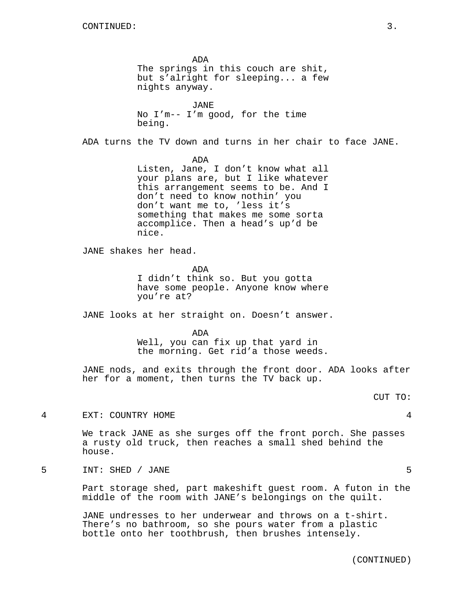ADA The springs in this couch are shit, but s'alright for sleeping... a few nights anyway. JANE No I'm-- I'm good, for the time being. ADA turns the TV down and turns in her chair to face JANE. ADA Listen, Jane, I don't know what all your plans are, but I like whatever this arrangement seems to be. And I don't need to know nothin' you don't want me to, 'less it's something that makes me some sorta accomplice. Then a head's up'd be nice. JANE shakes her head. ADA I didn't think so. But you gotta have some people. Anyone know where you're at? JANE looks at her straight on. Doesn't answer. ADA Well, you can fix up that yard in the morning. Get rid'a those weeds. JANE nods, and exits through the front door. ADA looks after her for a moment, then turns the TV back up. CUT TO: 4 EXT: COUNTRY HOME 4 We track JANE as she surges off the front porch. She passes a rusty old truck, then reaches a small shed behind the house. 5 INT: SHED / JANE 5 Part storage shed, part makeshift guest room. A futon in the middle of the room with JANE's belongings on the quilt. JANE undresses to her underwear and throws on a t-shirt.

There's no bathroom, so she pours water from a plastic bottle onto her toothbrush, then brushes intensely.

(CONTINUED)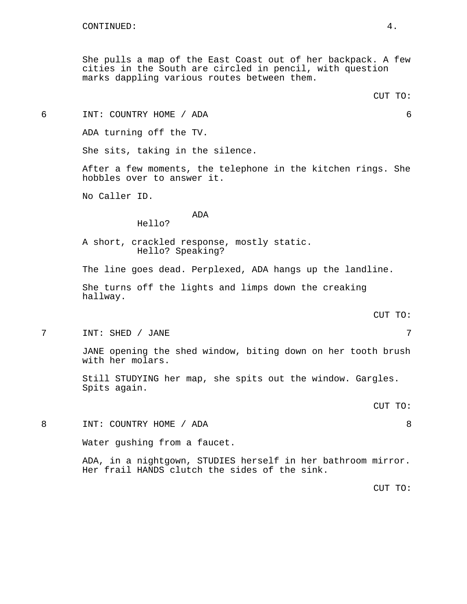She pulls a map of the East Coast out of her backpack. A few cities in the South are circled in pencil, with question marks dappling various routes between them.

6 INT: COUNTRY HOME / ADA 6

ADA turning off the TV.

She sits, taking in the silence.

After a few moments, the telephone in the kitchen rings. She hobbles over to answer it.

No Caller ID.

ADA

Hello?

A short, crackled response, mostly static. Hello? Speaking?

The line goes dead. Perplexed, ADA hangs up the landline.

She turns off the lights and limps down the creaking hallway.

CUT TO:

7 INT: SHED / JANE 7

JANE opening the shed window, biting down on her tooth brush with her molars.

Still STUDYING her map, she spits out the window. Gargles. Spits again.

CUT TO:

8 INT: COUNTRY HOME / ADA 8

Water gushing from a faucet.

ADA, in a nightgown, STUDIES herself in her bathroom mirror. Her frail HANDS clutch the sides of the sink.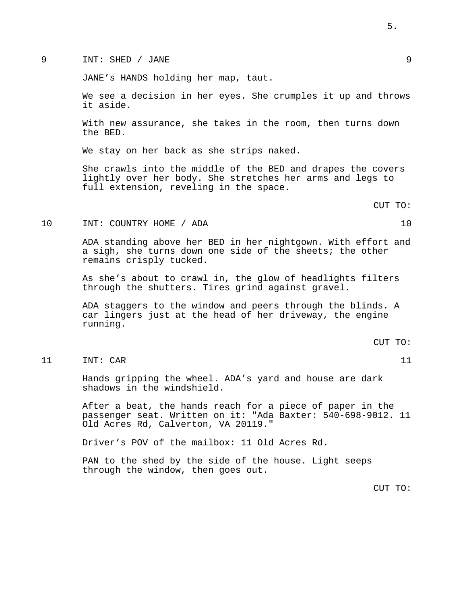## 9 INT: SHED / JANE 9

JANE's HANDS holding her map, taut.

We see a decision in her eyes. She crumples it up and throws it aside.

With new assurance, she takes in the room, then turns down the BED.

We stay on her back as she strips naked.

She crawls into the middle of the BED and drapes the covers lightly over her body. She stretches her arms and legs to full extension, reveling in the space.

CUT TO:

#### 10 INT: COUNTRY HOME / ADA 10

ADA standing above her BED in her nightgown. With effort and a sigh, she turns down one side of the sheets; the other remains crisply tucked.

As she's about to crawl in, the glow of headlights filters through the shutters. Tires grind against gravel.

ADA staggers to the window and peers through the blinds. A car lingers just at the head of her driveway, the engine running.

CUT TO:

# 11 INT: CAR 11

Hands gripping the wheel. ADA's yard and house are dark shadows in the windshield.

After a beat, the hands reach for a piece of paper in the passenger seat. Written on it: "Ada Baxter: 540-698-9012. 11 Old Acres Rd, Calverton, VA 20119."

Driver's POV of the mailbox: 11 Old Acres Rd.

PAN to the shed by the side of the house. Light seeps through the window, then goes out.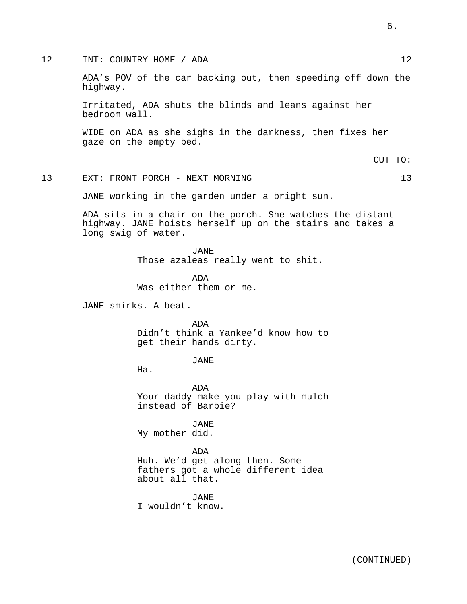## 12 INT: COUNTRY HOME / ADA 12

ADA's POV of the car backing out, then speeding off down the highway.

Irritated, ADA shuts the blinds and leans against her bedroom wall.

WIDE on ADA as she sighs in the darkness, then fixes her gaze on the empty bed.

CUT TO:

## 13 EXT: FRONT PORCH - NEXT MORNING 13

JANE working in the garden under a bright sun.

ADA sits in a chair on the porch. She watches the distant highway. JANE hoists herself up on the stairs and takes a long swig of water.

> JANE Those azaleas really went to shit.

ADA Was either them or me.

JANE smirks. A beat.

ADA Didn't think a Yankee'd know how to get their hands dirty.

JANE

Ha.

ADA Your daddy make you play with mulch instead of Barbie?

JANE My mother did.

## ADA

Huh. We'd get along then. Some fathers got a whole different idea about all that.

JANE I wouldn't know.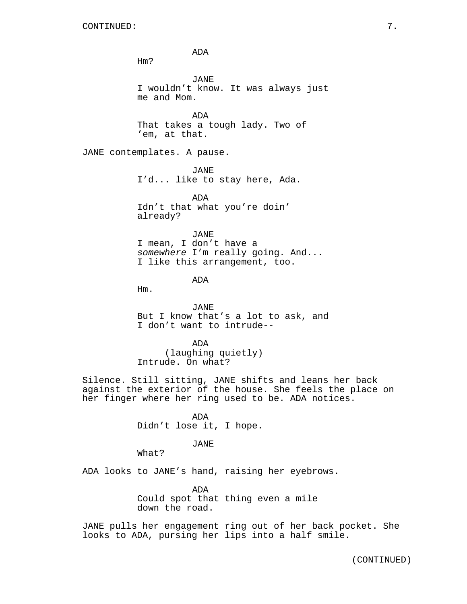ADA Hm? JANE I wouldn't know. It was always just me and Mom. ADA That takes a tough lady. Two of 'em, at that. JANE contemplates. A pause. JANE I'd... like to stay here, Ada. ADA Idn't that what you're doin' already? JANE I mean, I don't have a *somewhere* I'm really going. And... I like this arrangement, too. ADA Hm. JANE But I know that's a lot to ask, and I don't want to intrude-- ADA (laughing quietly) Intrude. On what? Silence. Still sitting, JANE shifts and leans her back against the exterior of the house. She feels the place on her finger where her ring used to be. ADA notices. ADA Didn't lose it, I hope.

JANE

What?

ADA looks to JANE's hand, raising her eyebrows.

ADA Could spot that thing even a mile down the road.

JANE pulls her engagement ring out of her back pocket. She looks to ADA, pursing her lips into a half smile.

(CONTINUED)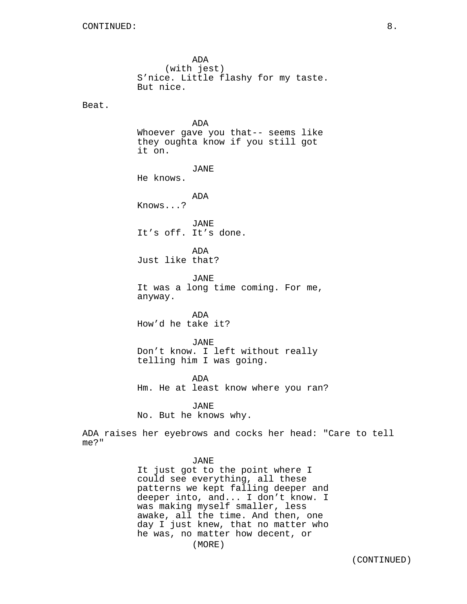Beat.

ADA (with jest) S'nice. Little flashy for my taste. But nice. ADA Whoever gave you that-- seems like they oughta know if you still got it on. JANE He knows. ADA

Knows...?

JANE It's off. It's done.

ADA Just like that?

JANE It was a long time coming. For me, anyway.

ADA How'd he take it?

JANE Don't know. I left without really telling him I was going.

ADA Hm. He at least know where you ran?

JANE

No. But he knows why.

ADA raises her eyebrows and cocks her head: "Care to tell me?"

## JANE

It just got to the point where I could see everything, all these patterns we kept falling deeper and deeper into, and... I don't know. I was making myself smaller, less awake, all the time. And then, one day I just knew, that no matter who he was, no matter how decent, or (MORE)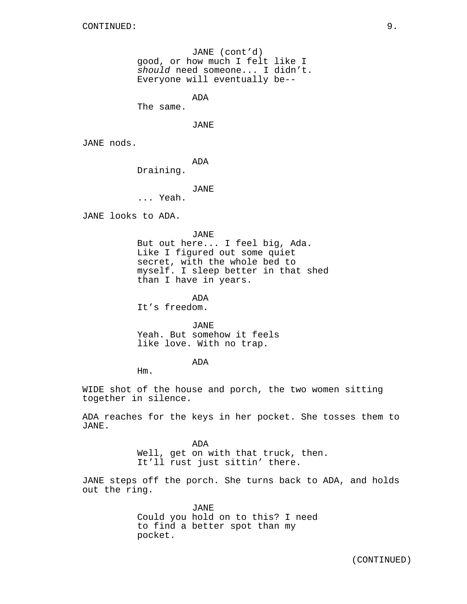JANE (cont'd) good, or how much I felt like I *should* need someone... I didn't. Everyone will eventually be--

ADA

The same.

JANE

JANE nods.

ADA

Draining.

JANE

... Yeah.

JANE looks to ADA.

JANE

But out here... I feel big, Ada. Like I figured out some quiet secret, with the whole bed to myself. I sleep better in that shed than I have in years.

ADA It's freedom.

JANE Yeah. But somehow it feels like love. With no trap.

ADA

Hm.

WIDE shot of the house and porch, the two women sitting together in silence.

ADA reaches for the keys in her pocket. She tosses them to JANE.

> ADA Well, get on with that truck, then. It'll rust just sittin' there.

JANE steps off the porch. She turns back to ADA, and holds out the ring.

> JANE Could you hold on to this? I need to find a better spot than my pocket.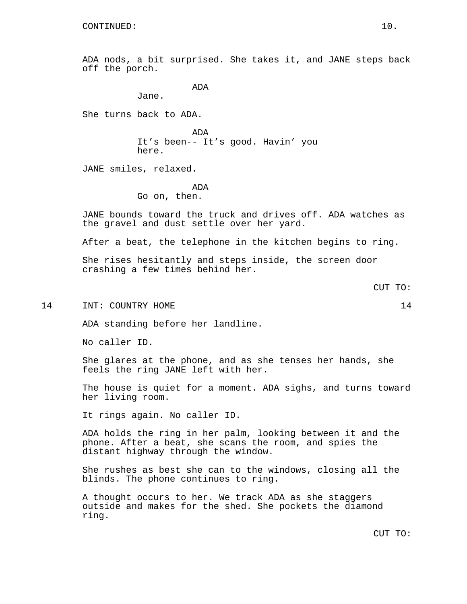ADA nods, a bit surprised. She takes it, and JANE steps back off the porch.

ADA

Jane.

She turns back to ADA.

ADA It's been-- It's good. Havin' you here.

JANE smiles, relaxed.

ADA Go on, then.

JANE bounds toward the truck and drives off. ADA watches as the gravel and dust settle over her yard.

After a beat, the telephone in the kitchen begins to ring.

She rises hesitantly and steps inside, the screen door crashing a few times behind her.

14 INT: COUNTRY HOME 14

ADA standing before her landline.

No caller ID.

She glares at the phone, and as she tenses her hands, she feels the ring JANE left with her.

The house is quiet for a moment. ADA sighs, and turns toward her living room.

It rings again. No caller ID.

ADA holds the ring in her palm, looking between it and the phone. After a beat, she scans the room, and spies the distant highway through the window.

She rushes as best she can to the windows, closing all the blinds. The phone continues to ring.

A thought occurs to her. We track ADA as she staggers outside and makes for the shed. She pockets the diamond ring.

CUT TO: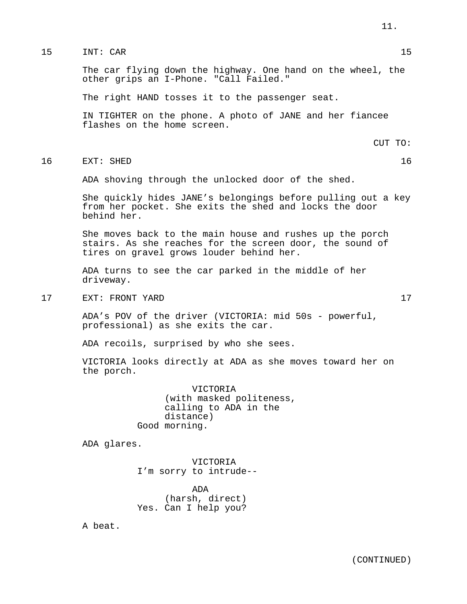The car flying down the highway. One hand on the wheel, the other grips an I-Phone. "Call Failed."

The right HAND tosses it to the passenger seat.

IN TIGHTER on the phone. A photo of JANE and her fiancee flashes on the home screen.

CUT TO:

16 EXT: SHED 16

ADA shoving through the unlocked door of the shed.

She quickly hides JANE's belongings before pulling out a key from her pocket. She exits the shed and locks the door behind her.

She moves back to the main house and rushes up the porch stairs. As she reaches for the screen door, the sound of tires on gravel grows louder behind her.

ADA turns to see the car parked in the middle of her driveway.

17 EXT: FRONT YARD 17

ADA's POV of the driver (VICTORIA: mid 50s - powerful, professional) as she exits the car.

ADA recoils, surprised by who she sees.

VICTORIA looks directly at ADA as she moves toward her on the porch.

> VICTORIA (with masked politeness, calling to ADA in the distance) Good morning.

ADA glares.

VICTORIA I'm sorry to intrude--

ADA (harsh, direct) Yes. Can I help you?

A beat.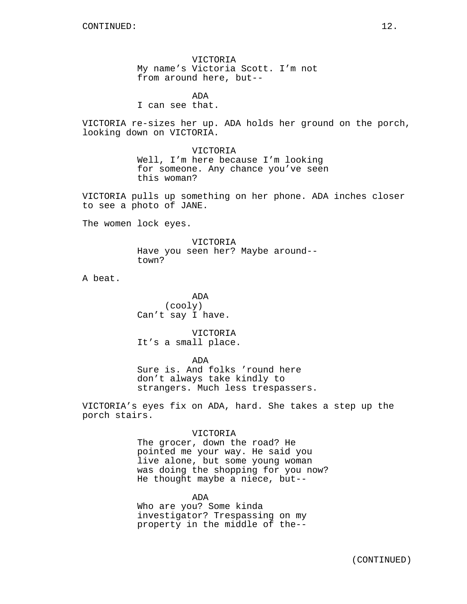VICTORIA My name's Victoria Scott. I'm not from around here, but--

ADA I can see that.

VICTORIA re-sizes her up. ADA holds her ground on the porch, looking down on VICTORIA.

> VICTORIA Well, I'm here because I'm looking for someone. Any chance you've seen this woman?

VICTORIA pulls up something on her phone. ADA inches closer to see a photo of JANE.

The women lock eyes.

VICTORIA Have you seen her? Maybe around- town?

A beat.

ADA (cooly) Can't say I have.

VICTORIA It's a small place.

ADA

Sure is. And folks 'round here don't always take kindly to strangers. Much less trespassers.

VICTORIA's eyes fix on ADA, hard. She takes a step up the porch stairs.

## VICTORIA

The grocer, down the road? He pointed me your way. He said you live alone, but some young woman was doing the shopping for you now? He thought maybe a niece, but--

ADA Who are you? Some kinda investigator? Trespassing on my property in the middle of the--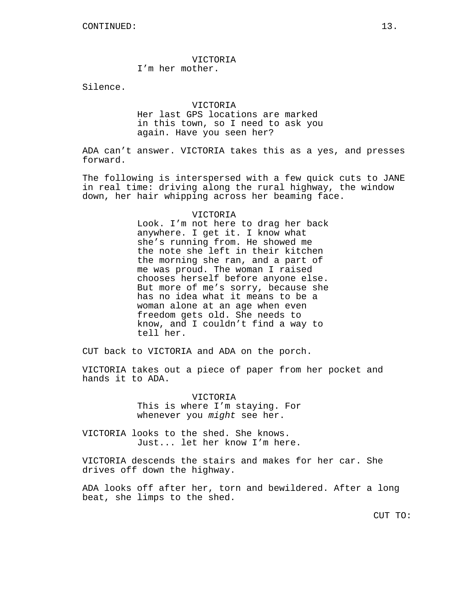# VICTORIA

I'm her mother.

Silence.

### VICTORIA

Her last GPS locations are marked in this town, so I need to ask you again. Have you seen her?

ADA can't answer. VICTORIA takes this as a yes, and presses forward.

The following is interspersed with a few quick cuts to JANE in real time: driving along the rural highway, the window down, her hair whipping across her beaming face.

#### VICTORIA

Look. I'm not here to drag her back anywhere. I get it. I know what she's running from. He showed me the note she left in their kitchen the morning she ran, and a part of me was proud. The woman I raised chooses herself before anyone else. But more of me's sorry, because she has no idea what it means to be a woman alone at an age when even freedom gets old. She needs to know, and I couldn't find a way to tell her.

CUT back to VICTORIA and ADA on the porch.

VICTORIA takes out a piece of paper from her pocket and hands it to ADA.

> VICTORIA This is where I'm staying. For whenever you *might* see her.

VICTORIA looks to the shed. She knows. Just... let her know I'm here.

VICTORIA descends the stairs and makes for her car. She drives off down the highway.

ADA looks off after her, torn and bewildered. After a long beat, she limps to the shed.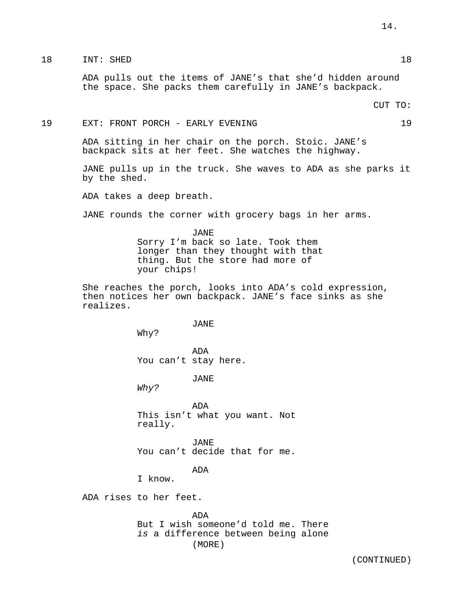ADA pulls out the items of JANE's that she'd hidden around the space. She packs them carefully in JANE's backpack.

#### 19 EXT: FRONT PORCH - EARLY EVENING 19

ADA sitting in her chair on the porch. Stoic. JANE's backpack sits at her feet. She watches the highway.

JANE pulls up in the truck. She waves to ADA as she parks it by the shed.

ADA takes a deep breath.

JANE rounds the corner with grocery bags in her arms.

JANE Sorry I'm back so late. Took them longer than they thought with that thing. But the store had more of your chips!

She reaches the porch, looks into ADA's cold expression, then notices her own backpack. JANE's face sinks as she realizes.

JANE

Why?

ADA You can't stay here.

JANE

*Why?*

ADA This isn't what you want. Not really.

JANE You can't decide that for me.

ADA

I know.

ADA rises to her feet.

ADA But I wish someone'd told me. There *is* a difference between being alone (MORE)

14.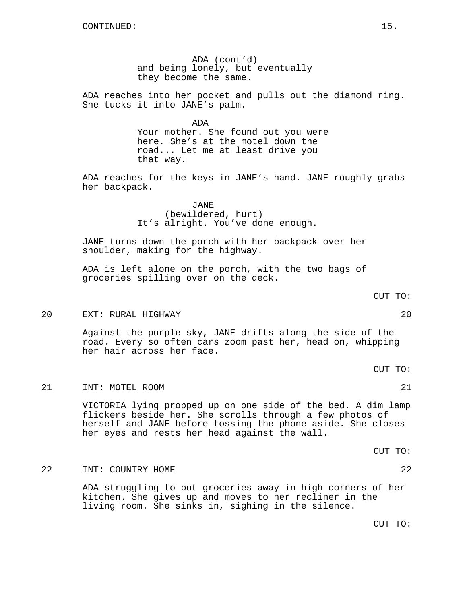ADA (cont'd) and being lonely, but eventually they become the same.

ADA reaches into her pocket and pulls out the diamond ring. She tucks it into JANE's palm.

> ADA Your mother. She found out you were here. She's at the motel down the road... Let me at least drive you that way.

ADA reaches for the keys in JANE's hand. JANE roughly grabs her backpack.

> JANE (bewildered, hurt) It's alright. You've done enough.

JANE turns down the porch with her backpack over her shoulder, making for the highway.

ADA is left alone on the porch, with the two bags of groceries spilling over on the deck.

$$
\verb"CUT T0":
$$

#### 20 EXT: RURAL HIGHWAY 20

Against the purple sky, JANE drifts along the side of the road. Every so often cars zoom past her, head on, whipping her hair across her face.

CUT TO:

## 21 INT: MOTEL ROOM 21

VICTORIA lying propped up on one side of the bed. A dim lamp flickers beside her. She scrolls through a few photos of herself and JANE before tossing the phone aside. She closes her eyes and rests her head against the wall.

CUT TO:

## 22 INT: COUNTRY HOME 22

ADA struggling to put groceries away in high corners of her kitchen. She gives up and moves to her recliner in the living room. She sinks in, sighing in the silence.